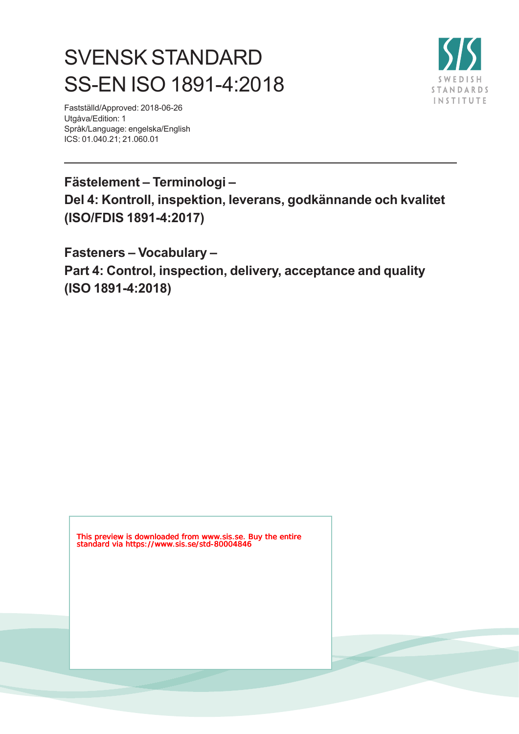# SVENSK STANDARD SS-EN ISO 1891-4:2018



Fastställd/Approved: 2018-06-26 Utgåva/Edition: 1 Språk/Language: engelska/English ICS: 01.040.21; 21.060.01

**Fästelement – Terminologi – Del 4: Kontroll, inspektion, leverans, godkännande och kvalitet (ISO/FDIS 1891‑4:2017)**

**Fasteners – Vocabulary – Part 4: Control, inspection, delivery, acceptance and quality (ISO 1891‑4:2018)**

This preview is downloaded from www.sis.se. Buy the entire standard via https://www.sis.se/std-80004846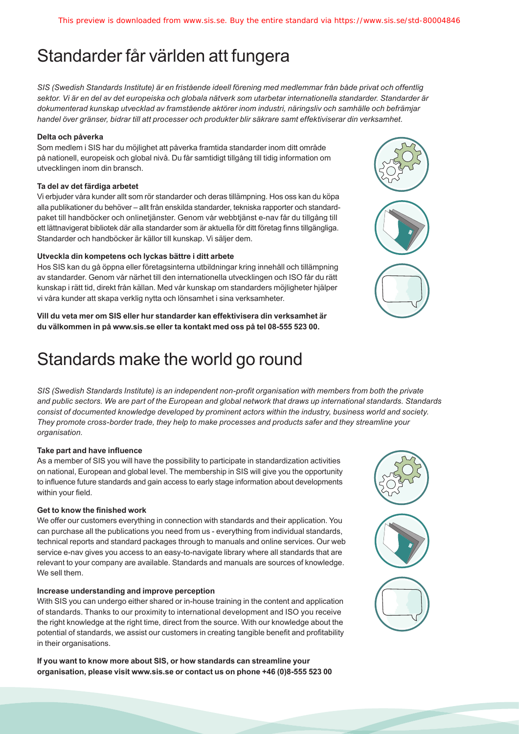## Standarder får världen att fungera

*SIS (Swedish Standards Institute) är en fristående ideell förening med medlemmar från både privat och offentlig sektor. Vi är en del av det europeiska och globala nätverk som utarbetar internationella standarder. Standarder är dokumenterad kunskap utvecklad av framstående aktörer inom industri, näringsliv och samhälle och befrämjar handel över gränser, bidrar till att processer och produkter blir säkrare samt effektiviserar din verksamhet.* 

### **Delta och påverka**

Som medlem i SIS har du möjlighet att påverka framtida standarder inom ditt område på nationell, europeisk och global nivå. Du får samtidigt tillgång till tidig information om utvecklingen inom din bransch.

### **Ta del av det färdiga arbetet**

Vi erbjuder våra kunder allt som rör standarder och deras tillämpning. Hos oss kan du köpa alla publikationer du behöver – allt från enskilda standarder, tekniska rapporter och standardpaket till handböcker och onlinetjänster. Genom vår webbtjänst e-nav får du tillgång till ett lättnavigerat bibliotek där alla standarder som är aktuella för ditt företag finns tillgängliga. Standarder och handböcker är källor till kunskap. Vi säljer dem.

#### **Utveckla din kompetens och lyckas bättre i ditt arbete**

Hos SIS kan du gå öppna eller företagsinterna utbildningar kring innehåll och tillämpning av standarder. Genom vår närhet till den internationella utvecklingen och ISO får du rätt kunskap i rätt tid, direkt från källan. Med vår kunskap om standarders möjligheter hjälper vi våra kunder att skapa verklig nytta och lönsamhet i sina verksamheter.

**Vill du veta mer om SIS eller hur standarder kan effektivisera din verksamhet är du välkommen in på www.sis.se eller ta kontakt med oss på tel 08-555 523 00.**

## Standards make the world go round

*SIS (Swedish Standards Institute) is an independent non-profit organisation with members from both the private and public sectors. We are part of the European and global network that draws up international standards. Standards consist of documented knowledge developed by prominent actors within the industry, business world and society. They promote cross-border trade, they help to make processes and products safer and they streamline your organisation.*

### **Take part and have influence**

As a member of SIS you will have the possibility to participate in standardization activities on national, European and global level. The membership in SIS will give you the opportunity to influence future standards and gain access to early stage information about developments within your field.

### **Get to know the finished work**

We offer our customers everything in connection with standards and their application. You can purchase all the publications you need from us - everything from individual standards, technical reports and standard packages through to manuals and online services. Our web service e-nav gives you access to an easy-to-navigate library where all standards that are relevant to your company are available. Standards and manuals are sources of knowledge. We sell them.

#### **Increase understanding and improve perception**

With SIS you can undergo either shared or in-house training in the content and application of standards. Thanks to our proximity to international development and ISO you receive the right knowledge at the right time, direct from the source. With our knowledge about the potential of standards, we assist our customers in creating tangible benefit and profitability in their organisations.

**If you want to know more about SIS, or how standards can streamline your organisation, please visit www.sis.se or contact us on phone +46 (0)8-555 523 00**



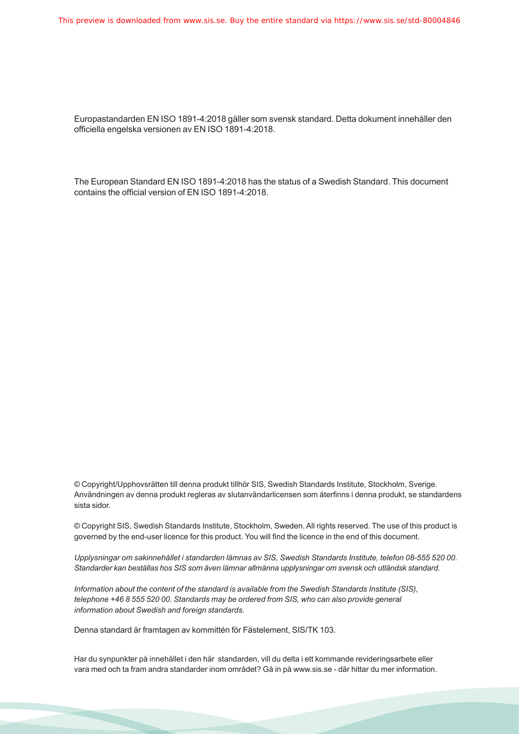Europastandarden EN ISO 1891-4:2018 gäller som svensk standard. Detta dokument innehåller den officiella engelska versionen av EN ISO 1891-4:2018.

The European Standard EN ISO 1891-4:2018 has the status of a Swedish Standard. This document contains the official version of EN ISO 1891-4:2018.

© Copyright/Upphovsrätten till denna produkt tillhör SIS, Swedish Standards Institute, Stockholm, Sverige. Användningen av denna produkt regleras av slutanvändarlicensen som återfinns i denna produkt, se standardens sista sidor.

© Copyright SIS, Swedish Standards Institute, Stockholm, Sweden. All rights reserved. The use of this product is governed by the end-user licence for this product. You will find the licence in the end of this document.

*Upplysningar om sakinnehållet i standarden lämnas av SIS, Swedish Standards Institute, telefon 08-555 520 00. Standarder kan beställas hos SIS som även lämnar allmänna upplysningar om svensk och utländsk standard.*

*Information about the content of the standard is available from the Swedish Standards Institute (SIS), telephone +46 8 555 520 00. Standards may be ordered from SIS, who can also provide general information about Swedish and foreign standards.*

Denna standard är framtagen av kommittén för Fästelement, SIS/TK 103.

Har du synpunkter på innehållet i den här standarden, vill du delta i ett kommande revideringsarbete eller vara med och ta fram andra standarder inom området? Gå in på www.sis.se - där hittar du mer information.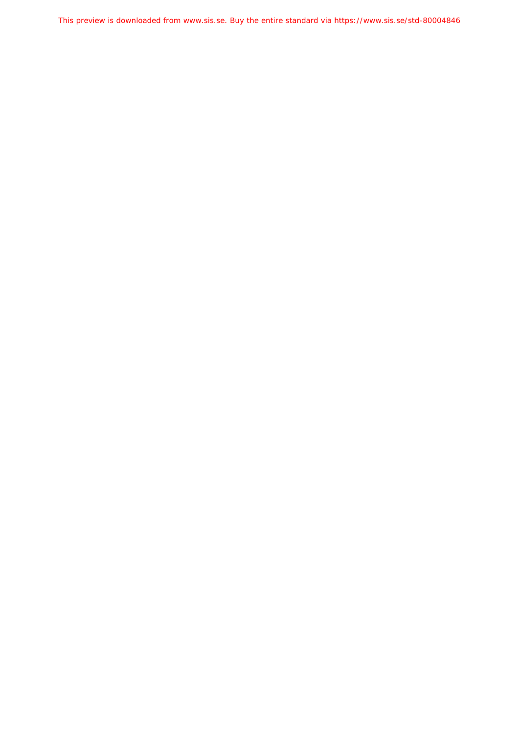This preview is downloaded from www.sis.se. Buy the entire standard via https://www.sis.se/std-80004846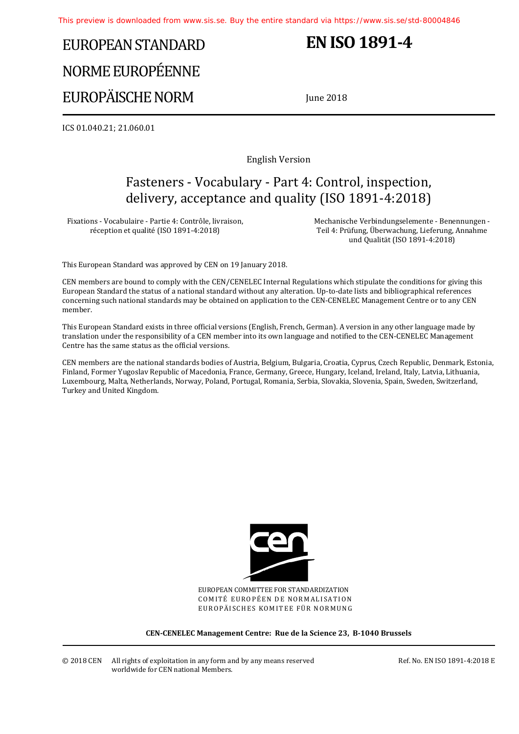# EUROPEAN STANDARD NORME EUROPÉENNE EUROPÄISCHE NORM

## **EN ISO 1891-4**

June 2018

ICS 01.040.21; 21.060.01

English Version

## Fasteners - Vocabulary - Part 4: Control, inspection, delivery, acceptance and quality (ISO 1891-4:2018)

Fixations - Vocabulaire - Partie 4: Contrôle, livraison, réception et qualité (ISO 1891-4:2018)

 Mechanische Verbindungselemente - Benennungen - Teil 4: Prüfung, Überwachung, Lieferung, Annahme und Qualität (ISO 1891-4:2018)

This European Standard was approved by CEN on 19 January 2018.

CEN members are bound to comply with the CEN/CENELEC Internal Regulations which stipulate the conditions for giving this European Standard the status of a national standard without any alteration. Up-to-date lists and bibliographical references concerning such national standards may be obtained on application to the CEN-CENELEC Management Centre or to any CEN member.

This European Standard exists in three official versions (English, French, German). A version in any other language made by translation under the responsibility of a CEN member into its own language and notified to the CEN-CENELEC Management Centre has the same status as the official versions.

CEN members are the national standards bodies of Austria, Belgium, Bulgaria, Croatia, Cyprus, Czech Republic, Denmark, Estonia, Finland, Former Yugoslav Republic of Macedonia, France, Germany, Greece, Hungary, Iceland, Ireland, Italy, Latvia, Lithuania, Luxembourg, Malta, Netherlands, Norway, Poland, Portugal, Romania, Serbia, Slovakia, Slovenia, Spain, Sweden, Switzerland, Turkey and United Kingdom.



EUROPEAN COMMITTEE FOR STANDARDIZATION COMITÉ EUROPÉEN DE NORMALISATION EUROPÄISCHES KOMITEE FÜR NORMUNG

**CEN-CENELEC Management Centre: Rue de la Science 23, B-1040 Brussels** 

Ref. No. EN ISO 1891-4:2018 E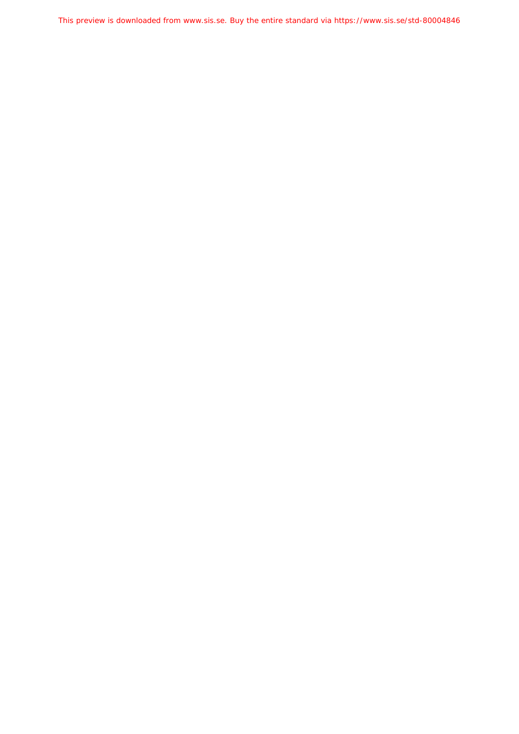This preview is downloaded from www.sis.se. Buy the entire standard via https://www.sis.se/std-80004846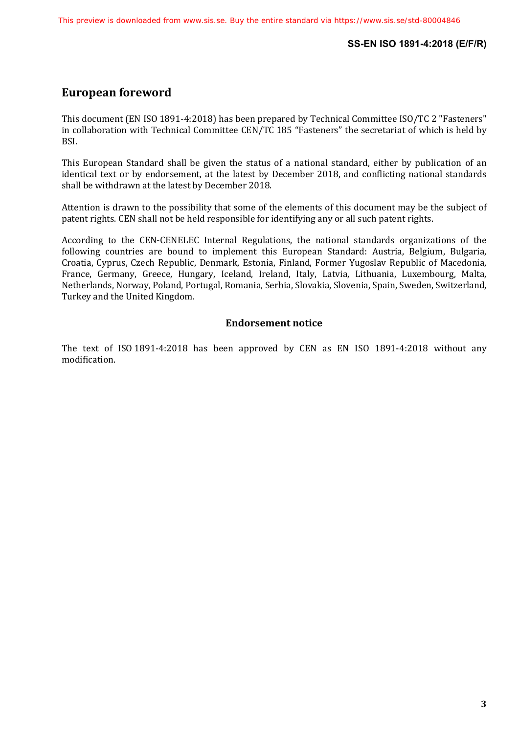## **European foreword**

This document (EN ISO 1891-4:2018) has been prepared by Technical Committee ISO/TC 2 "Fasteners" in collaboration with Technical Committee CEN/TC 185 "Fasteners" the secretariat of which is held by BSI.

This European Standard shall be given the status of a national standard, either by publication of an identical text or by endorsement, at the latest by December 2018, and conflicting national standards shall be withdrawn at the latest by December 2018.

Attention is drawn to the possibility that some of the elements of this document may be the subject of patent rights. CEN shall not be held responsible for identifying any or all such patent rights.

According to the CEN-CENELEC Internal Regulations, the national standards organizations of the following countries are bound to implement this European Standard: Austria, Belgium, Bulgaria, Croatia, Cyprus, Czech Republic, Denmark, Estonia, Finland, Former Yugoslav Republic of Macedonia, France, Germany, Greece, Hungary, Iceland, Ireland, Italy, Latvia, Lithuania, Luxembourg, Malta, Netherlands, Norway, Poland, Portugal, Romania, Serbia, Slovakia, Slovenia, Spain, Sweden, Switzerland, Turkey and the United Kingdom.

### **Endorsement notice**

The text of ISO 1891-4:2018 has been approved by CEN as EN ISO 1891-4:2018 without any modification.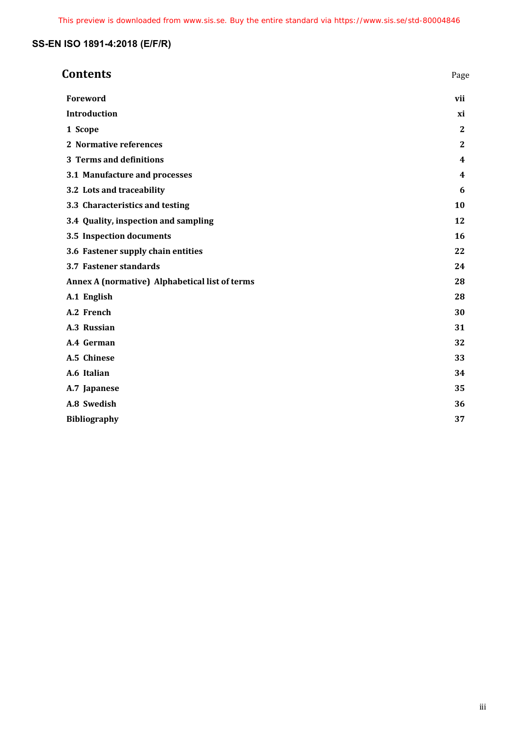| <b>Contents</b>                                | Page         |
|------------------------------------------------|--------------|
| Foreword                                       | vii          |
| Introduction                                   | хi           |
| 1 Scope                                        | $\mathbf{2}$ |
| 2 Normative references                         | $\mathbf{2}$ |
| 3 Terms and definitions                        | 4            |
| 3.1 Manufacture and processes                  | 4            |
| 3.2 Lots and traceability                      | 6            |
| 3.3 Characteristics and testing                | 10           |
| 3.4 Quality, inspection and sampling           | 12           |
| 3.5 Inspection documents                       | 16           |
| 3.6 Fastener supply chain entities             | 22           |
| 3.7 Fastener standards                         | 24           |
| Annex A (normative) Alphabetical list of terms | 28           |
| A.1 English                                    | 28           |
| A.2 French                                     | 30           |
| A.3 Russian                                    | 31           |
| A.4 German                                     | 32           |
| A.5 Chinese                                    | 33           |
| A.6 Italian                                    | 34           |
| A.7 Japanese                                   | 35           |
| A.8 Swedish                                    | 36           |
| <b>Bibliography</b>                            | 37           |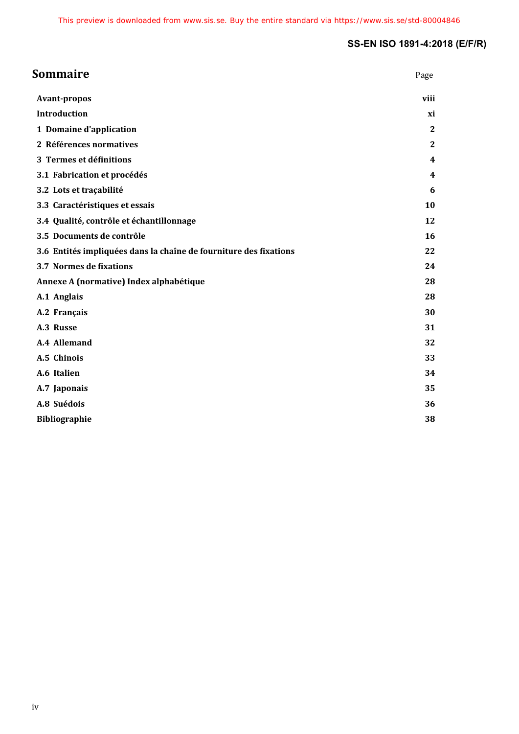| Sommaire                                                          | Page                    |
|-------------------------------------------------------------------|-------------------------|
| <b>Avant-propos</b>                                               | viii                    |
| Introduction                                                      | xi                      |
| 1 Domaine d'application                                           | $\mathbf{2}$            |
| 2 Références normatives                                           | $\mathbf{2}$            |
| 3 Termes et définitions                                           | 4                       |
| 3.1 Fabrication et procédés                                       | $\overline{\mathbf{4}}$ |
| 3.2 Lots et traçabilité                                           | 6                       |
| 3.3 Caractéristiques et essais                                    | 10                      |
| 3.4 Qualité, contrôle et échantillonnage                          | 12                      |
| 3.5 Documents de contrôle                                         | 16                      |
| 3.6 Entités impliquées dans la chaîne de fourniture des fixations | 22                      |
| 3.7 Normes de fixations                                           | 24                      |
| Annexe A (normative) Index alphabétique                           | 28                      |
| A.1 Anglais                                                       | 28                      |
| A.2 Français                                                      | 30                      |
| A.3 Russe                                                         | 31                      |
| A.4 Allemand                                                      | 32                      |
| A.5 Chinois                                                       | 33                      |
| A.6 Italien                                                       | 34                      |
| A.7 Japonais                                                      | 35                      |
| A.8 Suédois                                                       | 36                      |
| <b>Bibliographie</b>                                              | 38                      |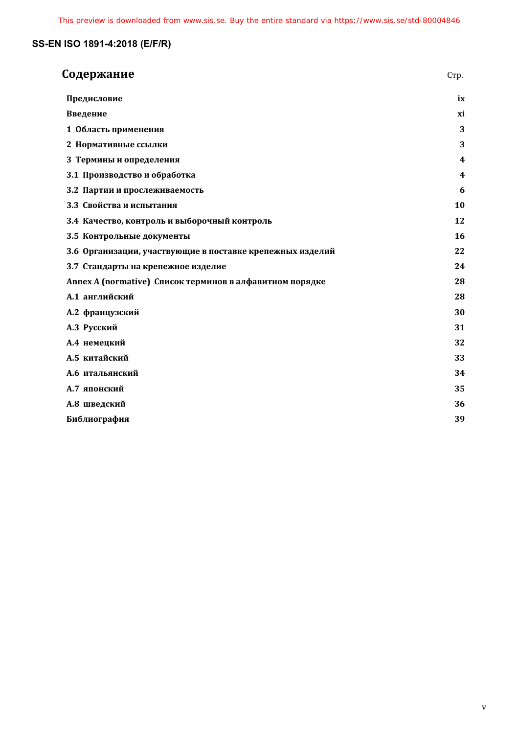| Содержание                                                | Cтр. |
|-----------------------------------------------------------|------|
| Предисловие                                               | ix   |
| Введение                                                  | xi   |
| 1 Область применения                                      | 3    |
| 2 Нормативные ссылки                                      | 3    |
| 3 Термины и определения                                   | 4    |
| 3.1 Производство и обработка                              | 4    |
| 3.2 Партии и прослеживаемость                             | 6    |
| 3.3 Свойства и испытания                                  | 10   |
| 3.4 Качество, контроль и выборочный контроль              | 12   |
| 3.5 Контрольные документы                                 | 16   |
| 3.6 Организации, участвующие в поставке крепежных изделий | 22   |
| 3.7 Стандарты на крепежное изделие                        | 24   |
| Annex A (normative) Список терминов в алфавитном порядке  | 28   |
| А.1 английский                                            | 28   |
| А.2 французский                                           | 30   |
| А.3 Русский                                               | 31   |
| А.4 немецкий                                              | 32   |
| А.5 китайский                                             | 33   |
| А.6 итальянский                                           | 34   |
| А.7 японский                                              | 35   |
| А.8 шведский                                              | 36   |
| Библиография                                              | 39   |